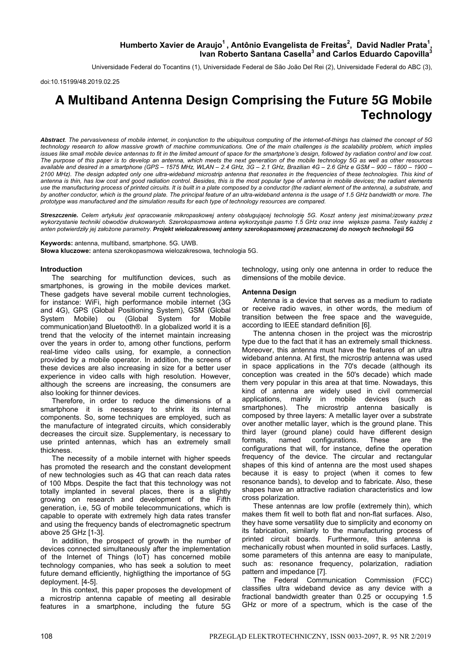Universidade Federal do Tocantins (1), Universidade Federal de São João Del Rei (2), Universidade Federal do ABC (3),

doi:10.15199/48.2019.02.25

# **A Multiband Antenna Design Comprising the Future 5G Mobile Technology**

*Abstract. The pervasiveness of mobile internet, in conjunction to the ubiquitous computing of the internet-of-things has claimed the concept of 5G technology research to allow massive growth of machine communications. One of the main challenges is the scalability problem, which implies issues like small mobile device antennas to fit in the limited amount of space for the smartphone's design, followed by radiation control and low cost. The purpose of this paper is to develop an antenna, which meets the next generation of the mobile technology 5G as well as other resources available and desired in a smartphone (GPS – 1575 MHz, WLAN – 2.4 GHz, 3G – 2.1 GHz, Brazilian 4G – 2.6 GHz e GSM – 900 – 1800 – 1900 – 2100 MHz). The design adopted only one ultra-wideband microstrip antenna that resonates in the frequencies of these technologies. This kind of antenna is thin, has low cost and good radiation control. Besides, this is the most popular type of antenna in mobile devices; the radiant elements*  use the manufacturing process of printed circuits. It is built in a plate composed by a conductor (the radiant element of the antenna), a substrate, and by another conductor, which is the ground plate. The principal feature of an ultra-wideband antenna is the usage of 1.5 GHz bandwidth or more. The *prototype was manufactured and the simulation results for each type of technology resources are compared.*

*Streszczenie. Celem artykułu jest opracowanie mikropaskowej anteny obsługującej technologię 5G. Koszt anteny jest minimal;izowany przez wykorzystanie techniki obwodów drukowanych. Szerokopasmowa antena wykorzystuje pasmo 1.5 GHz oraz inne większe pasma. Testy każdej z anten potwierdziły jej założone parametry. Projekt wielozakresowej anteny szerokopasmowej przeznaczonej do nowych technologii 5G* 

**Keywords:** antenna, multiband, smartphone. 5G. UWB.

**Słowa kluczowe:** antena szerokopasmowa wielozakresowa, technologia 5G.

# **Introduction**

The searching for multifunction devices, such as smartphones, is growing in the mobile devices market. These gadgets have several mobile current technologies, for instance: WiFi, high performance mobile internet (3G and 4G), GPS (Global Positioning System), GSM (Global System Mobile) ou (Global System for Mobile communication)and Bluetooth®. In a globalized world it is a trend that the velocity of the internet maintain increasing over the years in order to, among other functions, perform real-time video calls using, for example, a connection provided by a mobile operator. In addition, the screens of these devices are also increasing in size for a better user experience in video calls with high resolution. However, although the screens are increasing, the consumers are also looking for thinner devices.

Therefore, in order to reduce the dimensions of a smartphone it is necessary to shrink its internal components. So, some techniques are employed, such as the manufacture of integrated circuits, which considerably decreases the circuit size. Supplementary, is necessary to use printed antennas, which has an extremely small thickness.

The necessity of a mobile internet with higher speeds has promoted the research and the constant development of new technologies such as 4G that can reach data rates of 100 Mbps. Despite the fact that this technology was not totally implanted in several places, there is a slightly growing on research and development of the Fifth generation, i.e, 5G of mobile telecommunications, which is capable to operate with extremely high data rates transfer and using the frequency bands of electromagnetic spectrum above 25 GHz [1-3].

In addition, the prospect of growth in the number of devices connected simultaneously after the implementation of the Internet of Things (IoT) has concerned mobile technology companies, who has seek a solution to meet future demand efficiently, highligthing the importance of 5G deployment. [4-5].

In this context, this paper proposes the development of a microstrip antenna capable of meeting all desirable features in a smartphone, including the future 5G technology, using only one antenna in order to reduce the dimensions of the mobile device.

## **Antenna Design**

Antenna is a device that serves as a medium to radiate or receive radio waves, in other words, the medium of transition between the free space and the waveguide, according to IEEE standard definition [6].

The antenna chosen in the project was the microstrip type due to the fact that it has an extremely small thickness. Moreover, this antenna must have the features of an ultra wideband antenna. At first, the microstrip antenna was used in space applications in the 70's decade (although its conception was created in the 50's decade) which made them very popular in this area at that time. Nowadays, this kind of antenna are widely used in civil commercial applications, mainly in mobile devices (such as smartphones). The microstrip antenna basically is composed by three layers: A metallic layer over a substrate over another metallic layer, which is the ground plane. This third layer (ground plane) could have different design formats, named configurations. These are the configurations that will, for instance, define the operation frequency of the device. The circular and rectangular shapes of this kind of antenna are the most used shapes because it is easy to project (when it comes to few resonance bands), to develop and to fabricate. Also, these shapes have an attractive radiation characteristics and low cross polarization.

These antennas are low profile (extremely thin), which makes them fit well to both flat and non-flat surfaces. Also, they have some versatility due to simplicity and economy on its fabrication, similarly to the manufacturing process of printed circuit boards. Furthermore, this antenna is mechanically robust when mounted in solid surfaces. Lastly, some parameters of this antenna are easy to manipulate, such as: resonance frequency, polarization, radiation pattern and impedance [7].

The Federal Communication Commission (FCC) classifies ultra wideband device as any device with a fractional bandwidth greater than 0.25 or occupying 1.5 GHz or more of a spectrum, which is the case of the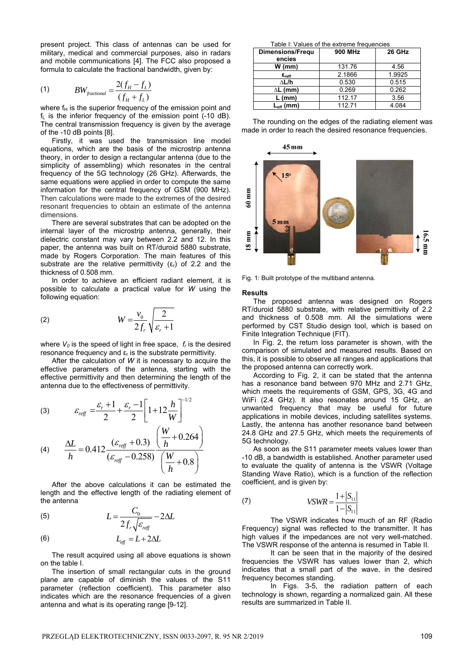present project. This class of antennas can be used for military, medical and commercial purposes, also in radars and mobile communications [4]. The FCC also proposed a formula to calculate the fractional bandwidth, given by:

(1) 
$$
BW_{fractional} = \frac{2(f_H - f_L)}{(f_H + f_L)}
$$

where  $f_H$  is the superior frequency of the emission point and  $f<sub>L</sub>$  is the inferior frequency of the emission point (-10 dB). The central transmission frequency is given by the average of the -10 dB points [8].

Firstly, it was used the transmission line model equations, which are the basis of the microstrip antenna theory, in order to design a rectangular antenna (due to the simplicity of assembling) which resonates in the central frequency of the 5G technology (26 GHz). Afterwards, the same equations were applied in order to compute the same information for the central frequency of GSM (900 MHz). Then calculations were made to the extremes of the desired resonant frequencies to obtain an estimate of the antenna dimensions.

There are several substrates that can be adopted on the internal layer of the microstrip antenna, generally, their dielectric constant may vary between 2.2 and 12. In this paper, the antenna was built on RT/duroid 5880 substrate, made by Rogers Corporation. The main features of this substrate are the relative permittivity  $(\varepsilon_r)$  of 2.2 and the thickness of 0.508 mm.

In order to achieve an efficient radiant element, it is possible to calculate a practical value for *W* using the following equation:

$$
(2) \t W = \frac{v_0}{2f_r} \sqrt{\frac{2}{\varepsilon_r + 1}}
$$

where  $V_0$  is the speed of light in free space,  $f_r$  is the desired resonance frequency and  $\varepsilon_r$  is the substrate permittivity.

After the calculation of *W* it is necessary to acquire the effective parameters of the antenna, starting with the effective permittivity and then determining the length of the antenna due to the effectiveness of permittivity.

(3) 
$$
\varepsilon_{ref} = \frac{\varepsilon_r + 1}{2} + \frac{\varepsilon_r - 1}{2} \left[ 1 + 12 \frac{h}{W} \right]^{1/2}
$$
  
(4) 
$$
\frac{\Delta L}{h} = 0.412 \frac{(\varepsilon_{ref} + 0.3)}{(\varepsilon_{ref} - 0.258)} \frac{\left(\frac{W}{h} + 0.264\right)}{\left(\frac{W}{h} + 0.8\right)}
$$

After the above calculations it can be estimated the length and the effective length of the radiating element of the antenna

(5) 
$$
L = \frac{C_0}{2f_r\sqrt{\varepsilon_{\text{refr}}}} - 2\Delta L
$$

$$
(6) \t L_{\text{eff}} = L + 2\Delta L
$$

The result acquired using all above equations is shown on the table I.

The insertion of small rectangular cuts in the ground plane are capable of diminish the values of the S11 parameter (reflection coefficient). This parameter also indicates which are the resonance frequencies of a given antenna and what is its operating range [9-12].

Table I: Values of the extreme frequencies

| <b>Dimensions/Frequ</b><br>encies | 900 MHz | 26 GHz |
|-----------------------------------|---------|--------|
| $W$ (mm)                          | 131.76  | 4.56   |
| $\epsilon_{\text{reff}}$          | 2.1866  | 1.9925 |
| $\Lambda$ L/h                     | 0.530   | 0.515  |
| $\Delta$ L (mm)                   | 0.269   | 0.262  |
| L (mm)                            | 112.17  | 3.56   |
| L <sub>eff</sub> (mm)             | 112.71  | 4.084  |

The rounding on the edges of the radiating element was made in order to reach the desired resonance frequencies.



Fig. 1: Built prototype of the multiband antenna.

# **Results**

The proposed antenna was designed on Rogers RT/duroid 5880 substrate, with relative permittivity of 2.2 and thickness of 0.508 mm. All the simulations were performed by CST Studio design tool, which is based on Finite Integration Technique (FIT).

In Fig. 2, the return loss parameter is shown, with the comparison of simulated and measured results. Based on this, it is possible to observe all ranges and applications that the proposed antenna can correctly work.

According to Fig. 2, it can be stated that the antenna has a resonance band between 970 MHz and 2.71 GHz, which meets the requirements of GSM, GPS, 3G, 4G and WiFi (2.4 GHz). It also resonates around 15 GHz, an unwanted frequency that may be useful for future applications in mobile devices, including satellites systems. Lastly, the antenna has another resonance band between 24.8 GHz and 27.5 GHz, which meets the requirements of 5G technology.

As soon as the S11 parameter meets values lower than -10 dB, a bandwidth is established. Another parameter used to evaluate the quality of antenna is the VSWR (Voltage Standing Wave Ratio), which is a function of the reflection coefficient, and is given by:

(7) 
$$
VSWR = \frac{1 + |S_{11}|}{1 - |S_{11}|}
$$

The VSWR indicates how much of an RF (Radio Frequency) signal was reflected to the transmitter. It has high values if the impedances are not very well-matched. The VSWR response of the antenna is resumed in Table II.

It can be seen that in the majority of the desired frequencies the VSWR has values lower than 2, which indicates that a small part of the wave, in the desired frequency becomes standing.

In Figs. 3-5, the radiation pattern of each technology is shown, regarding a normalized gain. All these results are summarized in Table II.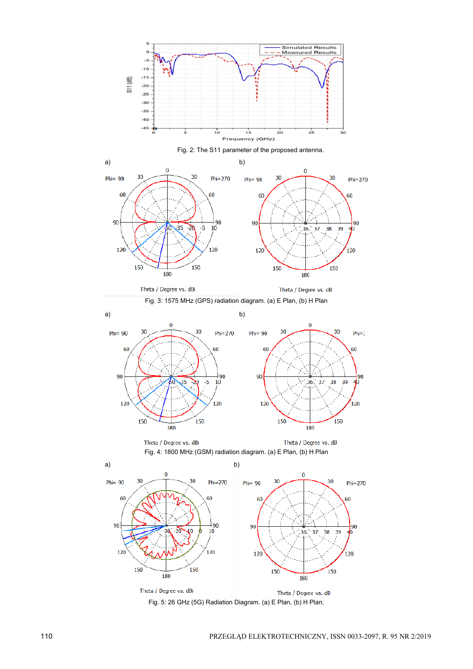